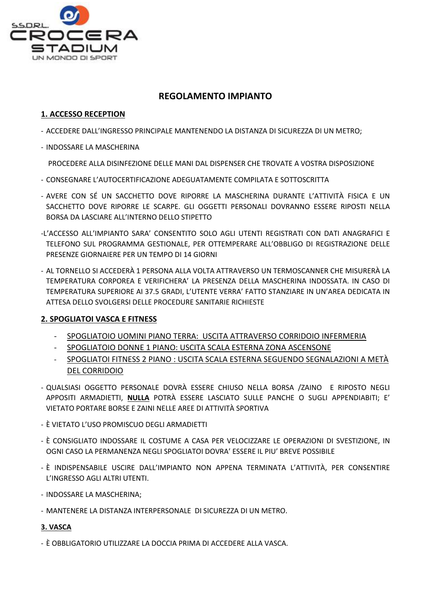

# **REGOLAMENTO IMPIANTO**

## **1. ACCESSO RECEPTION**

- ACCEDERE DALL'INGRESSO PRINCIPALE MANTENENDO LA DISTANZA DI SICUREZZA DI UN METRO;
- INDOSSARE LA MASCHERINA

PROCEDERE ALLA DISINFEZIONE DELLE MANI DAL DISPENSER CHE TROVATE A VOSTRA DISPOSIZIONE

- CONSEGNARE L'AUTOCERTIFICAZIONE ADEGUATAMENTE COMPILATA E SOTTOSCRITTA
- AVERE CON SÉ UN SACCHETTO DOVE RIPORRE LA MASCHERINA DURANTE L'ATTIVITÀ FISICA E UN SACCHETTO DOVE RIPORRE LE SCARPE. GLI OGGETTI PERSONALI DOVRANNO ESSERE RIPOSTI NELLA BORSA DA LASCIARE ALL'INTERNO DELLO STIPETTO
- -L'ACCESSO ALL'IMPIANTO SARA' CONSENTITO SOLO AGLI UTENTI REGISTRATI CON DATI ANAGRAFICI E TELEFONO SUL PROGRAMMA GESTIONALE, PER OTTEMPERARE ALL'OBBLIGO DI REGISTRAZIONE DELLE PRESENZE GIORNAIERE PER UN TEMPO DI 14 GIORNI
- AL TORNELLO SI ACCEDERÀ 1 PERSONA ALLA VOLTA ATTRAVERSO UN TERMOSCANNER CHE MISURERÀ LA TEMPERATURA CORPOREA E VERIFICHERA' LA PRESENZA DELLA MASCHERINA INDOSSATA. IN CASO DI TEMPERATURA SUPERIORE AI 37.5 GRADI, L'UTENTE VERRA' FATTO STANZIARE IN UN'AREA DEDICATA IN ATTESA DELLO SVOLGERSI DELLE PROCEDURE SANITARIE RICHIESTE

## **2. SPOGLIATOI VASCA E FITNESS**

- SPOGLIATOIO UOMINI PIANO TERRA: USCITA ATTRAVERSO CORRIDOIO INFERMERIA
- SPOGLIATOIO DONNE 1 PIANO: USCITA SCALA ESTERNA ZONA ASCENSONE
- SPOGLIATOI FITNESS 2 PIANO : USCITA SCALA ESTERNA SEGUENDO SEGNALAZIONI A METÀ DEL CORRIDOIO
- QUALSIASI OGGETTO PERSONALE DOVRÀ ESSERE CHIUSO NELLA BORSA /ZAINO E RIPOSTO NEGLI APPOSITI ARMADIETTI, **NULLA** POTRÀ ESSERE LASCIATO SULLE PANCHE O SUGLI APPENDIABITI; E' VIETATO PORTARE BORSE E ZAINI NELLE AREE DI ATTIVITÀ SPORTIVA
- È VIETATO L'USO PROMISCUO DEGLI ARMADIETTI
- È CONSIGLIATO INDOSSARE IL COSTUME A CASA PER VELOCIZZARE LE OPERAZIONI DI SVESTIZIONE, IN OGNI CASO LA PERMANENZA NEGLI SPOGLIATOI DOVRA' ESSERE IL PIU' BREVE POSSIBILE
- È INDISPENSABILE USCIRE DALL'IMPIANTO NON APPENA TERMINATA L'ATTIVITÀ, PER CONSENTIRE L'INGRESSO AGLI ALTRI UTENTI.
- INDOSSARE LA MASCHERINA;
- MANTENERE LA DISTANZA INTERPERSONALE DI SICUREZZA DI UN METRO.

## **3. VASCA**

- È OBBLIGATORIO UTILIZZARE LA DOCCIA PRIMA DI ACCEDERE ALLA VASCA.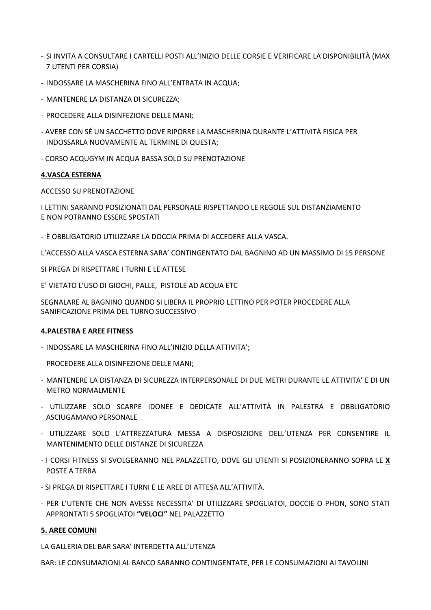- SI INVITA A CONSULTARE I CARTELLI POSTI ALL'INIZIO DELLE CORSIE E VERIFICARE LA DISPONIBILITÀ (MAX 7 UTENTI PER CORSIA)
- INDOSSARE LA MASCHERINA FINO ALL'ENTRATA IN ACQUA;
- MANTENERE LA DISTANZA DI SICUREZZA;
- PROCEDERE ALLA DISINFEZIONE DELLE MANI;
- AVERE CON SÉ UN SACCHETTO DOVE RIPORRE LA MASCHERINA DURANTE L'ATTIVITÀ FISICA PER INDOSSARLA NUOVAMENTE AL TERMINE DI QUESTA;
- CORSO ACQUGYM IN ACQUA BASSA SOLO SU PRENOTAZIONE

#### **4.VASCA ESTERNA**

#### ACCESSO SU PRENOTAZIONE

I LETTINI SARANNO POSIZIONATI DAL PERSONALE RISPETTANDO LE REGOLE SUL DISTANZIAMENTO E NON POTRANNO ESSERE SPOSTATI

- È OBBLIGATORIO UTILIZZARE LA DOCCIA PRIMA DI ACCEDERE ALLA VASCA.

L'ACCESSO ALLA VASCA ESTERNA SARA' CONTINGENTATO DAL BAGNINO AD UN MASSIMO DI 15 PERSONE

SI PREGA DI RISPETTARE I TURNI E LE ATTESE

E' VIETATO L'USO DI GIOCHI, PALLE, PISTOLE AD ACQUA ETC

SEGNALARE AL BAGNINO QUANDO SI LIBERA IL PROPRIO LETTINO PER POTER PROCEDERE ALLA SANIFICAZIONE PRIMA DEL TURNO SUCCESSIVO

#### **4. PALESTRA E AREE FITNESS**

- INDOSSARE LA MASCHERINA FINO ALL'INIZIO DELLA ATTIVITA';

PROCEDERE ALLA DISINFEZIONE DELLE MANI:

- MANTENERE LA DISTANZA DI SICUREZZA INTERPERSONALE DI DUE METRI DURANTE LE ATTIVITA' E DI UN **METRO NORMALMENTE**
- UTILIZZARE SOLO SCARPE IDONEE E DEDICATE ALL'ATTIVITÀ IN PALESTRA E OBBLIGATORIO ASCIUGAMANO PERSONALE
- UTILIZZARE SOLO L'ATTREZZATURA MESSA A DISPOSIZIONE DELL'UTENZA PER CONSENTIRE IL MANTENIMENTO DELLE DISTANZE DI SICUREZZA
- I CORSI FITNESS SI SVOLGERANNO NEL PALAZZETTO, DOVE GLI UTENTI SI POSIZIONERANNO SOPRA LE X POSTE A TERRA
- SI PREGA DI RISPETTARE I TURNI E LE AREE DI ATTESA ALL'ATTIVITÀ.
- PER L'UTENTE CHE NON AVESSE NECESSITA' DI UTILIZZARE SPOGLIATOI, DOCCIE O PHON, SONO STATI APPRONTATI 5 SPOGLIATOI "VELOCI" NEL PALAZZETTO

## **5. AREE COMUNI**

LA GALLERIA DEL BAR SARA' INTERDETTA ALL'UTENZA

BAR: LE CONSUMAZIONI AL BANCO SARANNO CONTINGENTATE, PER LE CONSUMAZIONI AI TAVOLINI